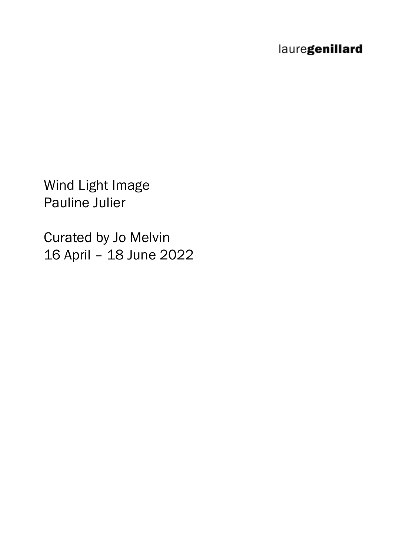# lauregenillard

Wind Light Image Pauline Julier

Curated by Jo Melvin 16 April – 18 June 2022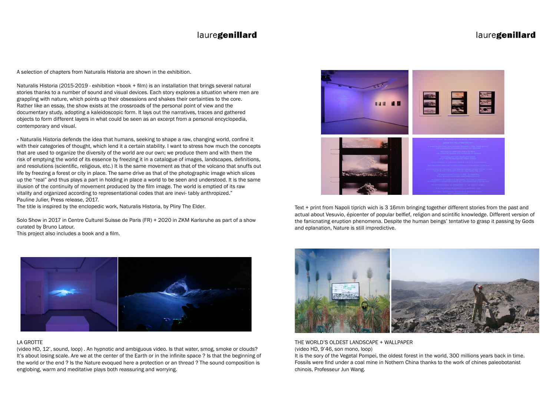### lauregenillard

A selection of chapters from Naturalis Historia are shown in the exhibition.

Naturalis Historia (2015-2019 - exhibition +book + film) is an installation that brings several natural stories thanks to a number of sound and visual devices. Each story explores a situation where men are grappling with nature, which points up their obsessions and shakes their certainties to the core. Rather like an essay, the show exists at the crossroads of the personal point of view and the documentary study, adopting a kaleidoscopic form. It lays out the narratives, traces and gathered objects to form different layers in what could be seen as an excerpt from a personal encyclopedia, contemporary and visual.

« Naturalis Historia defends the idea that humans, seeking to shape a raw, changing world, confine it with their categories of thought, which lend it a certain stability. I want to stress how much the concepts that are used to organize the diversity of the world are our own; we produce them and with them the risk of emptying the world of its essence by freezing it in a catalogue of images, landscapes, definitions, and resolutions (scientific, religious, etc.) It is the same movement as that of the volcano that snuffs out life by freezing a forest or city in place. The same drive as that of the photographic image which slices up the "real" and thus plays a part in holding in place a world to be seen and understood. It is the same illusion of the continuity of movement produced by the film image. The world is emptied of its raw vitality and organized according to representational codes that are inevi- tably anthropized." Pauline Julier, Press release, 2017.

The title is inspired by the enclopedic work, Naturalis Historia, by Pliny The Elder.

Solo Show in 2017 in Centre Culturel Suisse de Paris (FR) + 2020 in ZKM Karlsruhe as part of a show curated by Bruno Latour.

This project also includes a book and a film.



### LA GROTTE

(video HD, 12', sound, loop) . An hypnotic and ambiguous video. Is that water, smog, smoke or clouds? It's about losing scale. Are we at the center of the Earth or in the infinite space ? Is that the beginning of the world or the end ? Is the Nature evoqued here a protection or an thread ? The sound composition is englobing, warm and meditative plays both reassuring and worrying.



Text + print from Napoli tiprich wich is 3 16mm bringing together different stories from the past and actual about Vesuvio, épicenter of popular belfief, religion and scintific knowledge. Different version of the fanicnating eruption phenomena. Despite the human beings' tentative to grasp it passing by Gods and eplanation, Nature is still impredictive.



THE WORLD'S OLDEST LANDSCAPE + WALLPAPER (video HD, 9'46, son mono, loop) It is the sory of the Vegetal Pompei, the oldest forest in the world, 300 millions years back in time. Fossils were find under a coal mine in Nothern China thanks to the work of chines paleobotanist chinois, Professeur Jun Wang.

# lauregenillard